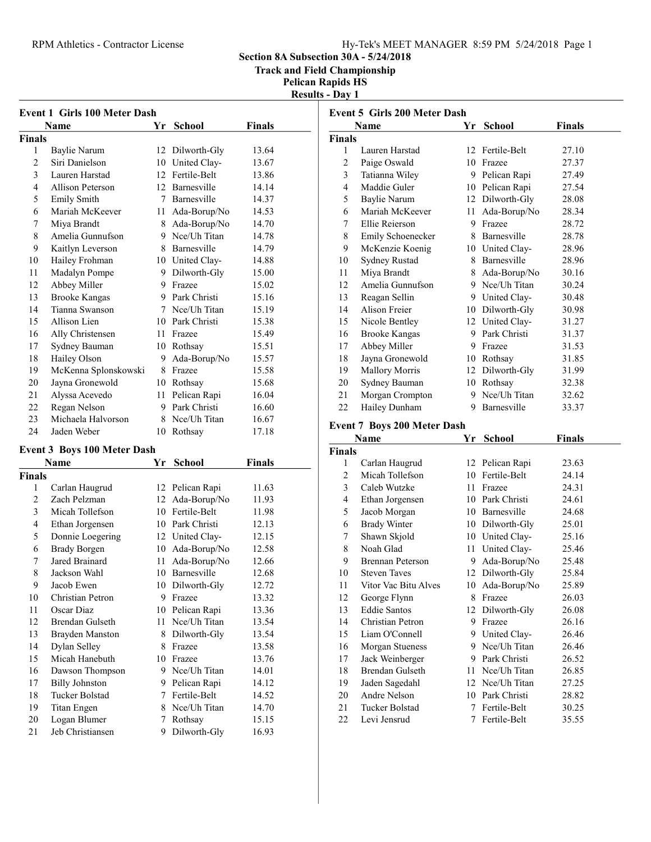#### RPM Athletics - Contractor License Hy-Tek's MEET MANAGER 8:59 PM 5/24/2018 Page 1

Section 8A Subsection 30A - 5/24/2018

Track and Field Championship

Pelican Rapids HS Results - Day 1

| <b>Event 1 Girls 100 Meter Dash</b> |                                |    |              |       |  |  |  |
|-------------------------------------|--------------------------------|----|--------------|-------|--|--|--|
|                                     | Finals<br>Name<br>Yr<br>School |    |              |       |  |  |  |
| <b>Finals</b>                       |                                |    |              |       |  |  |  |
| 1                                   | Baylie Narum                   | 12 | Dilworth-Gly | 13.64 |  |  |  |
| 2                                   | Siri Danielson                 | 10 | United Clay- | 13.67 |  |  |  |
| 3                                   | Lauren Harstad                 | 12 | Fertile-Belt | 13.86 |  |  |  |
| 4                                   | Allison Peterson               | 12 | Barnesville  | 14.14 |  |  |  |
| 5                                   | <b>Emily Smith</b>             | 7  | Barnesville  | 14.37 |  |  |  |
| 6                                   | Mariah McKeever                | 11 | Ada-Borup/No | 14.53 |  |  |  |
| 7                                   | Miya Brandt                    | 8  | Ada-Borup/No | 14.70 |  |  |  |
| 8                                   | Amelia Gunnufson               | 9  | Nce/Uh Titan | 14.78 |  |  |  |
| 9                                   | Kaitlyn Leverson               | 8  | Barnesville  | 14.79 |  |  |  |
| 10                                  | Hailey Frohman                 | 10 | United Clay- | 14.88 |  |  |  |
| 11                                  | Madalyn Pompe                  | 9  | Dilworth-Gly | 15.00 |  |  |  |
| 12                                  | Abbey Miller                   | 9  | Frazee       | 15.02 |  |  |  |
| 13                                  | <b>Brooke Kangas</b>           | 9  | Park Christi | 15.16 |  |  |  |
| 14                                  | Tianna Swanson                 | 7  | Nce/Uh Titan | 15.19 |  |  |  |
| 15                                  | Allison Lien                   | 10 | Park Christi | 15.38 |  |  |  |
| 16                                  | Ally Christensen               | 11 | Frazee       | 15.49 |  |  |  |
| 17                                  | Sydney Bauman                  | 10 | Rothsay      | 15.51 |  |  |  |
| 18                                  | Hailey Olson                   | 9  | Ada-Borup/No | 15.57 |  |  |  |
| 19                                  | McKenna Splonskowski           | 8  | Frazee       | 15.58 |  |  |  |
| 20                                  | Jayna Gronewold                | 10 | Rothsay      | 15.68 |  |  |  |
| 21                                  | Alyssa Acevedo                 | 11 | Pelican Rapi | 16.04 |  |  |  |
| 22                                  | Regan Nelson                   | 9  | Park Christi | 16.60 |  |  |  |
| 23                                  | Michaela Halvorson             | 8  | Nce/Uh Titan | 16.67 |  |  |  |
| 24                                  | Jaden Weber                    | 10 | Rothsay      | 17.18 |  |  |  |

#### Event 3 Boys 100 Meter Dash

|                | Name                   | Yr | School       | Finals |
|----------------|------------------------|----|--------------|--------|
| <b>Finals</b>  |                        |    |              |        |
| 1              | Carlan Haugrud         | 12 | Pelican Rapi | 11.63  |
| 2              | Zach Pelzman           | 12 | Ada-Borup/No | 11.93  |
| 3              | Micah Tollefson        | 10 | Fertile-Belt | 11.98  |
| $\overline{4}$ | Ethan Jorgensen        | 10 | Park Christi | 12.13  |
| 5              | Donnie Loegering       | 12 | United Clay- | 12.15  |
| 6              | <b>Brady Borgen</b>    | 10 | Ada-Borup/No | 12.58  |
| 7              | Jared Brainard         | 11 | Ada-Borup/No | 12.66  |
| 8              | Jackson Wahl           | 10 | Barnesville  | 12.68  |
| 9              | Jacob Ewen             | 10 | Dilworth-Gly | 12.72  |
| 10             | Christian Petron       | 9  | Frazee       | 13.32  |
| 11             | Oscar Diaz             | 10 | Pelican Rapi | 13.36  |
| 12             | <b>Brendan Gulseth</b> | 11 | Nce/Uh Titan | 13.54  |
| 13             | Brayden Manston        | 8  | Dilworth-Gly | 13.54  |
| 14             | Dylan Selley           | 8  | Frazee       | 13.58  |
| 15             | Micah Hanebuth         | 10 | Frazee       | 13.76  |
| 16             | Dawson Thompson        | 9  | Nce/Uh Titan | 14.01  |
| 17             | <b>Billy Johnston</b>  | 9  | Pelican Rapi | 14.12  |
| 18             | Tucker Bolstad         | 7  | Fertile-Belt | 14.52  |
| 19             | Titan Engen            | 8  | Nce/Uh Titan | 14.70  |
| 20             | Logan Blumer           | 7  | Rothsay      | 15.15  |
| 21             | Jeb Christiansen       | 9  | Dilworth-Gly | 16.93  |

|               | <b>Event 5 Girls 200 Meter Dash</b> |    |                 |               |  |  |  |
|---------------|-------------------------------------|----|-----------------|---------------|--|--|--|
|               | Name                                | Yr | <b>School</b>   | <b>Finals</b> |  |  |  |
| <b>Finals</b> |                                     |    |                 |               |  |  |  |
| 1             | Lauren Harstad                      |    | 12 Fertile-Belt | 27.10         |  |  |  |
| 2             | Paige Oswald                        | 10 | Frazee          | 27.37         |  |  |  |
| 3             | Tatianna Wiley                      | 9  | Pelican Rapi    | 27.49         |  |  |  |
| 4             | Maddie Guler                        | 10 | Pelican Rapi    | 27.54         |  |  |  |
| 5             | Baylie Narum                        | 12 | Dilworth-Gly    | 28.08         |  |  |  |
| 6             | Mariah McKeever                     | 11 | Ada-Borup/No    | 28.34         |  |  |  |
| 7             | Ellie Reierson                      | 9  | Frazee          | 28.72         |  |  |  |
| 8             | Emily Schoenecker                   | 8  | Barnesville     | 28.78         |  |  |  |
| 9             | McKenzie Koenig                     |    | 10 United Clay- | 28.96         |  |  |  |
| 10            | Sydney Rustad                       |    | 8 Barnesville   | 28.96         |  |  |  |
| 11            | Miya Brandt                         | 8  | Ada-Borup/No    | 30.16         |  |  |  |
| 12            | Amelia Gunnufson                    |    | 9 Nee/Uh Titan  | 30.24         |  |  |  |
| 13            | Reagan Sellin                       |    | 9 United Clay-  | 30.48         |  |  |  |
| 14            | Alison Freier                       | 10 | Dilworth-Gly    | 30.98         |  |  |  |
| 15            | Nicole Bentley                      |    | 12 United Clay- | 31.27         |  |  |  |
| 16            | <b>Brooke Kangas</b>                |    | 9 Park Christi  | 31.37         |  |  |  |
| 17            | Abbey Miller                        | 9  | Frazee          | 31.53         |  |  |  |
| 18            | Jayna Gronewold                     | 10 | Rothsay         | 31.85         |  |  |  |
| 19            | <b>Mallory Morris</b>               | 12 | Dilworth-Gly    | 31.99         |  |  |  |
| 20            | Sydney Bauman                       | 10 | Rothsay         | 32.38         |  |  |  |
| 21            | Morgan Crompton                     | 9  | Nce/Uh Titan    | 32.62         |  |  |  |
| 22            | Hailey Dunham                       | 9  | Barnesville     | 33.37         |  |  |  |

#### Event 7 Boys 200 Meter Dash

| Name                    | Yr | <b>School</b> | <b>Finals</b>                                                   |  |
|-------------------------|----|---------------|-----------------------------------------------------------------|--|
| <b>Finals</b>           |    |               |                                                                 |  |
| Carlan Haugrud          | 12 | Pelican Rapi  | 23.63                                                           |  |
| Micah Tollefson         | 10 | Fertile-Belt  | 24.14                                                           |  |
| Caleb Wutzke            | 11 | Frazee        | 24.31                                                           |  |
| Ethan Jorgensen         |    |               | 24.61                                                           |  |
| Jacob Morgan            | 10 | Barnesville   | 24.68                                                           |  |
| <b>Brady Winter</b>     | 10 | Dilworth-Gly  | 25.01                                                           |  |
| Shawn Skjold            | 10 |               | 25.16                                                           |  |
| Noah Glad               | 11 | United Clay-  | 25.46                                                           |  |
| <b>Brennan Peterson</b> | 9  | Ada-Borup/No  | 25.48                                                           |  |
| <b>Steven Taves</b>     | 12 | Dilworth-Gly  | 25.84                                                           |  |
| Vitor Vac Bitu Alves    | 10 | Ada-Borup/No  | 25.89                                                           |  |
| George Flynn            | 8  | Frazee        | 26.03                                                           |  |
| <b>Eddie Santos</b>     | 12 | Dilworth-Gly  | 26.08                                                           |  |
| Christian Petron        | 9  | Frazee        | 26.16                                                           |  |
| Liam O'Connell          | 9. |               | 26.46                                                           |  |
| Morgan Stueness         | 9  | Nce/Uh Titan  | 26.46                                                           |  |
| Jack Weinberger         | 9  | Park Christi  | 26.52                                                           |  |
| Brendan Gulseth         | 11 | Nce/Uh Titan  | 26.85                                                           |  |
| Jaden Sagedahl          | 12 |               | 27.25                                                           |  |
| Andre Nelson            | 10 | Park Christi  | 28.82                                                           |  |
| Tucker Bolstad          | 7  | Fertile-Belt  | 30.25                                                           |  |
| Levi Jensrud            | 7  | Fertile-Belt  | 35.55                                                           |  |
|                         |    |               | 10 Park Christi<br>United Clay-<br>United Clay-<br>Nce/Uh Titan |  |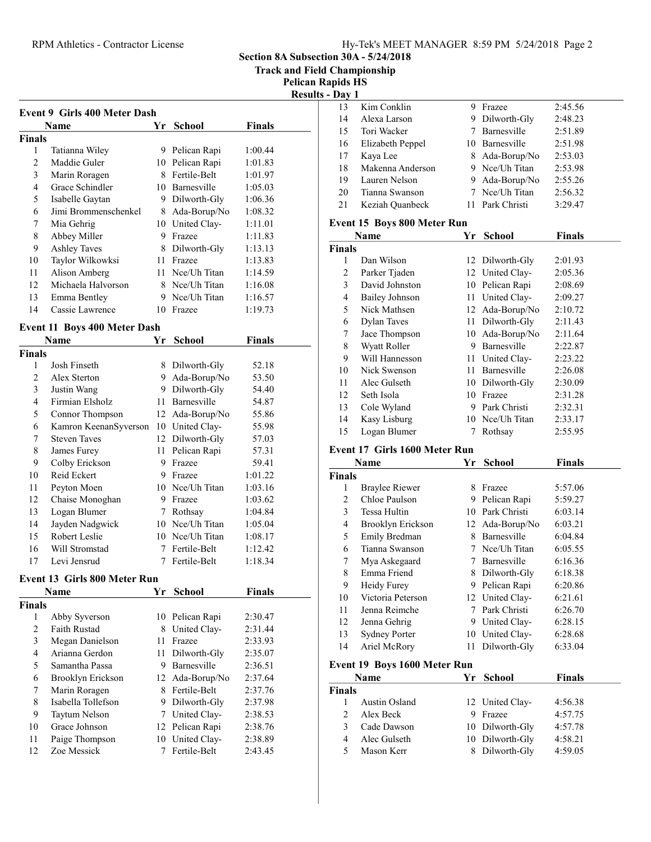RPM Athletics - Contractor License

Section 8A Subsection 30A - 5/24/2018

Track and Field Championship

Pelican Rapids HS sults -  $\mathbf{Day} 1$ 

|               |                                     |      |                 |               | Resu |
|---------------|-------------------------------------|------|-----------------|---------------|------|
|               | <b>Event 9 Girls 400 Meter Dash</b> |      |                 |               |      |
|               | <b>Name</b>                         | Yr   | School          | <b>Finals</b> |      |
| <b>Finals</b> |                                     |      |                 |               |      |
| 1             | Tatianna Wiley                      |      | 9 Pelican Rapi  | 1:00.44       |      |
| 2             | Maddie Guler                        |      | 10 Pelican Rapi | 1:01.83       |      |
| 3             | Marin Roragen                       |      | 8 Fertile-Belt  | 1:01.97       |      |
| 4             | Grace Schindler                     |      | 10 Barnesville  | 1:05.03       |      |
| 5             | Isabelle Gaytan                     |      | 9 Dilworth-Gly  | 1:06.36       |      |
| 6             | Jimi Brommenschenkel                |      | 8 Ada-Borup/No  | 1:08.32       |      |
| 7             | Mia Gehrig                          |      | 10 United Clay- | 1:11.01       |      |
| 8             | Abbey Miller                        |      | 9 Frazee        | 1:11.83       |      |
| 9             | <b>Ashley Taves</b>                 |      | 8 Dilworth-Gly  | 1:13.13       |      |
| 10            | Taylor Wilkowksi                    |      | 11 Frazee       | 1:13.83       |      |
| 11            | Alison Amberg                       |      | 11 Nee/Uh Titan | 1:14.59       |      |
| 12            | Michaela Halvorson                  |      | 8 Nee/Uh Titan  | 1:16.08       |      |
| 13            | Emma Bentley                        |      | 9 Nce/Uh Titan  | 1:16.57       |      |
| 14            | Cassie Lawrence                     |      | 10 Frazee       | 1:19.73       |      |
|               |                                     |      |                 |               |      |
|               | <b>Event 11 Boys 400 Meter Dash</b> |      |                 |               |      |
|               | Name                                | Yr   | <b>School</b>   | Finals        |      |
| <b>Finals</b> |                                     |      |                 |               |      |
| 1             | Josh Finseth                        |      | 8 Dilworth-Gly  | 52.18         |      |
| 2             | Alex Sterton                        |      | 9 Ada-Borup/No  | 53.50         |      |
| 3             | Justin Wang                         |      | 9 Dilworth-Gly  | 54.40         |      |
| 4             | Firmian Elsholz                     |      | 11 Barnesville  | 54.87         |      |
| 5             | Connor Thompson                     |      | 12 Ada-Borup/No | 55.86         |      |
| 6             | Kamron KeenanSyverson               |      | 10 United Clay- | 55.98         |      |
| 7             | <b>Steven Taves</b>                 |      | 12 Dilworth-Gly | 57.03         |      |
| 8             | James Furey                         | 11   | Pelican Rapi    | 57.31         |      |
| 9             | Colby Erickson                      |      | 9 Frazee        | 59.41         |      |
| 10            | Reid Eckert                         |      | 9 Frazee        | 1:01.22       |      |
| 11            | Peyton Moen                         |      | 10 Nce/Uh Titan | 1:03.16       |      |
| 12            | Chaise Monoghan                     |      | 9 Frazee        | 1:03.62       |      |
| 13            | Logan Blumer                        |      | 7 Rothsay       | 1:04.84       |      |
| 14            | Jayden Nadgwick                     |      | 10 Nee/Uh Titan | 1:05.04       |      |
| 15            | Robert Leslie                       |      | 10 Nee/Uh Titan | 1:08.17       |      |
| 16            | Will Stromstad                      | 7    | Fertile-Belt    | 1:12.42       |      |
| 17            | Levi Jensrud                        | 7    | Fertile-Belt    | 1:18.34       |      |
|               | <b>Event 13 Girls 800 Meter Run</b> |      |                 |               |      |
|               |                                     |      |                 |               |      |
|               | Name                                | Yr   | School          | <b>Finals</b> |      |
| <b>Finals</b> |                                     |      |                 |               |      |
| 1             | Abby Syverson                       | 10   | Pelican Rapi    | 2:30.47       |      |
| 2             | <b>Faith Rustad</b>                 | 8.   | United Clay-    | 2:31.44       |      |
| 3             | Megan Danielson                     | 11 - | Frazee          | 2:33.93       |      |
| 4             | Arianna Gerdon                      | 11 - | Dilworth-Gly    | 2:35.07       |      |
| 5             | Samantha Passa                      |      | 9 Barnesville   | 2:36.51       |      |
| 6             | Brooklyn Erickson                   |      | 12 Ada-Borup/No | 2:37.64       |      |
| 7             | Marin Roragen                       | 8    | Fertile-Belt    | 2:37.76       |      |

Marin Roragen 8 Fertile-Belt 2:37.76 8 Isabella Tollefson 9 Dilworth-Gly 2:37.98 9 Taytum Nelson 7 United Clay- 2:38.53 10 Grace Johnson 12 Pelican Rapi 2:38.76 11 Paige Thompson 10 United Clay- 2:38.89 12 2:43.45 Zoe Messick 7 Fertile-Belt

| 13             | Kim Conklin                          | 9      | Frazee          | 2:45.56       |  |
|----------------|--------------------------------------|--------|-----------------|---------------|--|
| 14             | Alexa Larson                         | 9      | Dilworth-Gly    | 2:48.23       |  |
| 15             | Tori Wacker                          | $\tau$ | Barnesville     | 2:51.89       |  |
| 16             | Elizabeth Peppel                     |        | 10 Barnesville  | 2:51.98       |  |
| 17             | Kaya Lee                             | 8      | Ada-Borup/No    | 2:53.03       |  |
| 18             | Makenna Anderson                     |        | 9 Nce/Uh Titan  | 2:53.98       |  |
| 19             | Lauren Nelson                        |        | 9 Ada-Borup/No  | 2:55.26       |  |
| 20             | Tianna Swanson                       | 7      | Nce/Uh Titan    | 2:56.32       |  |
| 21             | Keziah Quanbeck                      | 11     | Park Christi    | 3:29.47       |  |
|                | Event 15 Boys 800 Meter Run          |        |                 |               |  |
|                | Name                                 |        | Yr School       | <b>Finals</b> |  |
| <b>Finals</b>  |                                      |        |                 |               |  |
| 1              | Dan Wilson                           | 12     | Dilworth-Gly    | 2:01.93       |  |
| $\overline{c}$ | Parker Tjaden                        | 12     | United Clay-    | 2:05.36       |  |
| 3              | David Johnston                       | 10     | Pelican Rapi    | 2:08.69       |  |
| 4              | <b>Bailey Johnson</b>                | 11     | United Clay-    | 2:09.27       |  |
| 5              | Nick Mathsen                         | 12     | Ada-Borup/No    | 2:10.72       |  |
| 6              | <b>Dylan Taves</b>                   | 11     | Dilworth-Gly    | 2:11.43       |  |
| 7              | Jace Thompson                        | 10     | Ada-Borup/No    | 2:11.64       |  |
| $\,$ $\,$      | Wyatt Roller                         | 9      | Barnesville     | 2:22.87       |  |
| 9              | Will Hannesson                       | 11     | United Clay-    | 2:23.22       |  |
| 10             | Nick Swenson                         | 11     | Barnesville     | 2:26.08       |  |
| 11             | Alec Gulseth                         | 10     | Dilworth-Gly    | 2:30.09       |  |
| 12             | Seth Isola                           | 10     | Frazee          | 2:31.28       |  |
| 13             | Cole Wyland                          | 9      | Park Christi    | 2:32.31       |  |
| 14             | Kasy Lisburg                         |        | 10 Nee/Uh Titan | 2:33.17       |  |
| 15             | Logan Blumer                         | 7      | Rothsay         | 2:55.95       |  |
|                | <b>Event 17 Girls 1600 Meter Run</b> |        |                 |               |  |
|                | Name                                 | Yr     | School          | <b>Finals</b> |  |
| <b>Finals</b>  |                                      |        |                 |               |  |
| 1              | <b>Braylee Riewer</b>                |        | 8 Frazee        | 5:57.06       |  |
| $\overline{c}$ | Chloe Paulson                        |        | 9 Pelican Rapi  | 5:59.27       |  |
| 3              | Tessa Hultin                         |        | 10 Park Christi | 6:03.14       |  |
| 4              | Brooklyn Erickson                    | 12     | Ada-Borup/No    | 6:03.21       |  |
| 5              | Emily Bredman                        |        | 8 Barnesville   | 6:04.84       |  |
| 6              | Tianna Swanson                       | 7      | Nce/Uh Titan    | 6:05.55       |  |
| 7              | Mya Askegaard                        | 7      | Barnesville     | 6:16.36       |  |
| 8              | Emma Friend                          | 8      | Dilworth-Gly    | 6:18.38       |  |
| 9              | Heidy Furey                          | 9      | Pelican Rapi    | 6:20.86       |  |
| 10             | Victoria Peterson                    | 12     | United Clay-    | 6:21.61       |  |
| 11             | Jenna Reimche                        | 7      | Park Christi    | 6:26.70       |  |
| 12             | Jenna Gehrig                         | 9      | United Clay-    | 6:28.15       |  |
| 13             | <b>Sydney Porter</b>                 | 10     | United Clay-    | 6:28.68       |  |
| 14             | Ariel McRory                         | 11     | Dilworth-Gly    | 6:33.04       |  |

#### Event 19 Boys 1600 Meter Run

|               | Name          | Yr School       | <b>Finals</b> |  |
|---------------|---------------|-----------------|---------------|--|
| <b>Finals</b> |               |                 |               |  |
|               | Austin Osland | 12 United Clay- | 4:56.38       |  |
| $2^{1}$       | Alex Beck     | 9 Frazee        | 4:57.75       |  |
| 3             | Cade Dawson   | 10 Dilworth-Gly | 4:57.78       |  |
|               | Alec Gulseth  | 10 Dilworth-Gly | 4:58.21       |  |
| 5             | Mason Kerr    | 8 Dilworth-Gly  | 4:59.05       |  |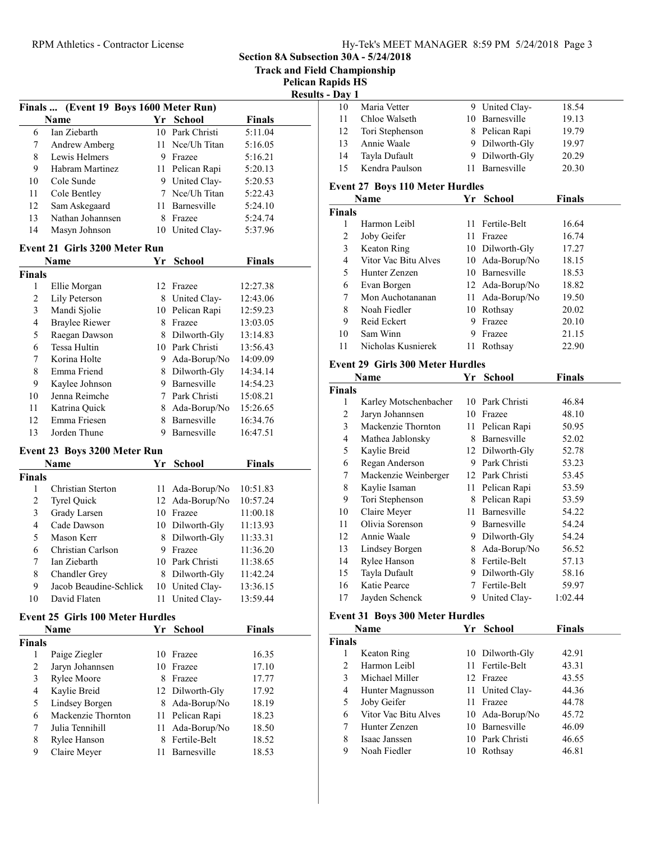10 Maria Vetter 9 United Clay- 18.54

Section 8A Subsection 30A - 5/24/2018

Track and Field Championship

Pelican Rapids HS

|                |                                         |    |                 |                | <b>Results - Day 1</b> |                   |
|----------------|-----------------------------------------|----|-----------------|----------------|------------------------|-------------------|
|                | Finals  (Event 19 Boys 1600 Meter Run)  |    |                 |                | 10                     | Maria Vetter      |
|                | Name                                    |    | Yr School       | <b>Finals</b>  | 11                     | Chloe Walset      |
| 6              | Ian Ziebarth                            |    | 10 Park Christi | 5:11.04        | 12                     | Tori Stephen      |
| 7              | Andrew Amberg                           |    | 11 Nee/Uh Titan | 5:16.05        | 13                     | Annie Waale       |
| $\,8\,$        | Lewis Helmers                           |    | 9 Frazee        | 5:16.21        | 14                     | Tayla Dufaul      |
| 9              | Habram Martinez                         |    | 11 Pelican Rapi | 5:20.13        | 15                     | Kendra Pauls      |
| 10             | Cole Sunde                              |    | 9 United Clay-  | 5:20.53        |                        | Event 27 Boys 11  |
| 11             | Cole Bentley                            |    | 7 Nce/Uh Titan  | 5:22.43        |                        |                   |
| 12             | Sam Askegaard                           |    | 11 Barnesville  | 5:24.10        |                        | Name              |
| 13             | Nathan Johannsen                        |    | 8 Frazee        | 5:24.74        | <b>Finals</b>          |                   |
| 14             | Masyn Johnson                           |    | 10 United Clay- | 5:37.96        | $\mathbf{1}$           | Harmon Leib       |
|                |                                         |    |                 |                | $\overline{2}$         | Joby Geifer       |
|                | <b>Event 21 Girls 3200 Meter Run</b>    |    |                 |                | $\mathfrak{Z}$         | Keaton Ring       |
|                | Name                                    |    | Yr School       | <b>Finals</b>  | $\overline{4}$         | Vitor Vac Bit     |
| <b>Finals</b>  |                                         |    |                 |                | 5                      | Hunter Zenz       |
| 1              | Ellie Morgan                            |    | 12 Frazee       | 12:27.38       | 6                      | Evan Borgen       |
| $\overline{c}$ | Lily Peterson                           |    | 8 United Clay-  | 12:43.06       | $\tau$                 | Mon Auchota       |
| $\mathfrak{Z}$ | Mandi Sjolie                            |    | 10 Pelican Rapi | 12:59.23       | 8                      | Noah Fiedler      |
| $\overline{4}$ | <b>Braylee Riewer</b>                   |    | 8 Frazee        | 13:03.05       | 9                      | Reid Eckert       |
| 5              | Raegan Dawson                           |    | 8 Dilworth-Gly  | 13:14.83       | 10                     | Sam Winn          |
| $\sqrt{6}$     | Tessa Hultin                            |    | 10 Park Christi | 13:56.43       | 11                     | Nicholas Kus      |
| 7              | Korina Holte                            |    | 9 Ada-Borup/No  | 14:09.09       |                        | Event 29 Girls 30 |
| $\,8\,$        | Emma Friend                             |    | 8 Dilworth-Gly  | 14:34.14       |                        | <b>Name</b>       |
| 9              | Kaylee Johnson                          |    | 9 Barnesville   | 14:54.23       | <b>Finals</b>          |                   |
| 10             | Jenna Reimche                           |    | 7 Park Christi  | 15:08.21       | 1                      | Karley Mots       |
| 11             | Katrina Quick                           |    | 8 Ada-Borup/No  | 15:26.65       | $\sqrt{2}$             | Jaryn Johann      |
| 12             | Emma Friesen                            |    | 8 Barnesville   | 16:34.76       | $\mathfrak{Z}$         | Mackenzie T       |
| 13             | Jorden Thune                            |    | 9 Barnesville   | 16:47.51       | $\overline{4}$         | Mathea Jablo      |
|                | Event 23 Boys 3200 Meter Run            |    |                 |                | 5                      | Kaylie Breid      |
|                |                                         | Yr |                 |                | 6                      | Regan Ander       |
|                | Name                                    |    | <b>School</b>   | <b>Finals</b>  | $\tau$                 | Mackenzie V       |
| <b>Finals</b>  |                                         |    |                 |                | $\,$ 8 $\,$            |                   |
| $\mathbf{1}$   | Christian Sterton                       |    | 11 Ada-Borup/No | 10:51.83       | 9                      | Kaylie Isama      |
| $\overline{2}$ | <b>Tyrel Quick</b>                      |    | 12 Ada-Borup/No | 10:57.24       |                        | Tori Stephen      |
| $\mathfrak{Z}$ | Grady Larsen                            |    | 10 Frazee       | 11:00.18       | 10                     | Claire Meyer      |
| $\overline{4}$ | Cade Dawson                             |    | 10 Dilworth-Gly | 11:13.93       | 11                     | Olivia Soren      |
| 5              | Mason Kerr                              |    | 8 Dilworth-Gly  | 11:33.31       | 12                     | Annie Waale       |
| 6              | Christian Carlson                       |    | 9 Frazee        | 11:36.20       | 13                     | Lindsey Borg      |
| 7              | Ian Ziebarth                            |    | 10 Park Christi | 11:38.65       | 14                     | Rylee Hanso:      |
| 8              | Chandler Grey                           |    | 8 Dilworth-Gly  | 11:42.24       | 15                     | Tayla Dufaul      |
| 9              | Jacob Beaudine-Schlick                  |    | 10 United Clay- | 13:36.15       | 16                     | Katie Pearce      |
| 10             | David Flaten                            |    | 11 United Clay- | 13:59.44       | 17                     | Jayden Schei      |
|                | <b>Event 25 Girls 100 Meter Hurdles</b> |    |                 |                |                        | Event 31 Boys 30  |
|                | Name                                    |    | Yr School       | <b>Finals</b>  |                        | <b>Name</b>       |
| <b>Finals</b>  |                                         |    |                 |                | <b>Finals</b>          |                   |
| $\mathbf{1}$   | Paige Ziegler                           |    | 10 Frazee       | 16.35          | 1                      | Keaton Ring       |
| $\overline{2}$ | Jaryn Johannsen                         |    | 10 Frazee       | 17.10          | $\overline{2}$         | Harmon Leib       |
| $\mathfrak{Z}$ | Rylee Moore                             |    | 8 Frazee        |                | 3                      | Michael Mill      |
| $\overline{4}$ | Kaylie Breid                            |    | 12 Dilworth-Gly | 17.77<br>17.92 | 4                      | Hunter Magr       |
|                | Lindsey Borgen                          |    |                 |                | 5                      | Joby Geifer       |
| 5              | Mackenzie Thornton                      |    | 8 Ada-Borup/No  | 18.19          | 6                      | Vitor Vac Bit     |
| 6              |                                         |    | 11 Pelican Rapi | 18.23          |                        |                   |

7 Julia Tennihill 11 Ada-Borup/No 18.50 8 Rylee Hanson 8 Fertile-Belt 18.52 9 Claire Meyer 11 Barnesville 18.53

| 11                      | Chloe Walseth                                  |    | 10 Barnesville                    | 19.13          |  |
|-------------------------|------------------------------------------------|----|-----------------------------------|----------------|--|
| 12                      | Tori Stephenson                                |    | 8 Pelican Rapi                    | 19.79          |  |
| 13                      | Annie Waale                                    |    | 9 Dilworth-Gly                    | 19.97          |  |
| 14                      | Tayla Dufault                                  |    | 9 Dilworth-Gly                    | 20.29          |  |
| 15                      | Kendra Paulson                                 | 11 | Barnesville                       | 20.30          |  |
|                         |                                                |    |                                   |                |  |
|                         | <b>Event 27 Boys 110 Meter Hurdles</b><br>Name |    | Yr School                         | Finals         |  |
| <b>Finals</b>           |                                                |    |                                   |                |  |
| 1                       | Harmon Leibl                                   | 11 | Fertile-Belt                      | 16.64          |  |
| $\overline{c}$          | Joby Geifer                                    | 11 | Frazee                            | 16.74          |  |
|                         |                                                |    |                                   |                |  |
| 3<br>4                  | Keaton Ring<br>Vitor Vac Bitu Alves            |    | 10 Dilworth-Gly                   | 17.27<br>18.15 |  |
| 5                       | Hunter Zenzen                                  |    | 10 Ada-Borup/No<br>10 Barnesville |                |  |
|                         |                                                |    |                                   | 18.53          |  |
| 6                       | Evan Borgen                                    |    | 12 Ada-Borup/No                   | 18.82          |  |
| 7                       | Mon Auchotananan                               | 11 | Ada-Borup/No                      | 19.50          |  |
| $\,$ $\,$               | Noah Fiedler                                   | 10 | Rothsay                           | 20.02          |  |
| 9                       | Reid Eckert                                    | 9. | Frazee                            | 20.10          |  |
| 10                      | Sam Winn                                       | 9  | Frazee                            | 21.15          |  |
| 11                      | Nicholas Kusnierek                             | 11 | Rothsay                           | 22.90          |  |
|                         | <b>Event 29 Girls 300 Meter Hurdles</b>        |    |                                   |                |  |
|                         | Name                                           |    | Yr School                         | <b>Finals</b>  |  |
| <b>Finals</b>           |                                                |    |                                   |                |  |
| 1                       | Karley Motschenbacher                          |    | 10 Park Christi                   | 46.84          |  |
| $\overline{c}$          | Jaryn Johannsen                                |    | 10 Frazee                         | 48.10          |  |
| 3                       | Mackenzie Thornton                             |    | 11 Pelican Rapi                   | 50.95          |  |
| $\overline{\mathbf{4}}$ | Mathea Jablonsky                               |    | 8 Barnesville                     | 52.02          |  |
| 5                       | Kaylie Breid                                   |    | 12 Dilworth-Gly                   | 52.78          |  |
| 6                       | Regan Anderson                                 |    | 9 Park Christi                    | 53.23          |  |
| 7                       | Mackenzie Weinberger                           |    | 12 Park Christi                   | 53.45          |  |
| 8                       | Kaylie Isaman                                  |    | 11 Pelican Rapi                   | 53.59          |  |
| 9                       | Tori Stephenson                                |    | 8 Pelican Rapi                    | 53.59          |  |
| 10                      | Claire Meyer                                   | 11 | Barnesville                       | 54.22          |  |
| 11                      | Olivia Sorenson                                | 9. | Barnesville                       | 54.24          |  |
| 12                      | Annie Waale                                    |    | 9 Dilworth-Gly                    | 54.24          |  |
| 13                      | Lindsey Borgen                                 | 8  | Ada-Borup/No                      | 56.52          |  |
| 14                      | Rylee Hanson                                   | 8  | Fertile-Belt                      | 57.13          |  |
| 15                      | Tayla Dufault                                  | 9. | Dilworth-Gly                      | 58.16          |  |
| 16                      | Katie Pearce                                   | 7  | Fertile-Belt                      | 59.97          |  |
| 17                      | Jayden Schenck                                 |    | 9 United Clay-                    | 1:02.44        |  |
|                         |                                                |    |                                   |                |  |
|                         | <b>Event 31 Boys 300 Meter Hurdles</b>         |    |                                   |                |  |
|                         | Name                                           |    | Yr School                         | <b>Finals</b>  |  |
| <b>Finals</b>           |                                                |    |                                   |                |  |
| 1                       | Keaton Ring                                    | 10 | Dilworth-Gly                      | 42.91          |  |
| $\overline{c}$          | Harmon Leibl                                   | 11 | Fertile-Belt                      | 43.31          |  |
| 3                       | Michael Miller                                 |    | 12 Frazee                         | 43.55          |  |
| 4                       | Hunter Magnusson                               | 11 | United Clay-                      | 44.36          |  |
| 5                       | Joby Geifer                                    |    | 11 Frazee                         | 44.78          |  |

6 45.72 Vitor Vac Bitu Alves 10 Ada-Borup/No 7 Hunter Zenzen 10 Barnesville 46.09 8 46.65 Isaac Janssen 10 Park Christi 9 Noah Fiedler 10 Rothsay 46.81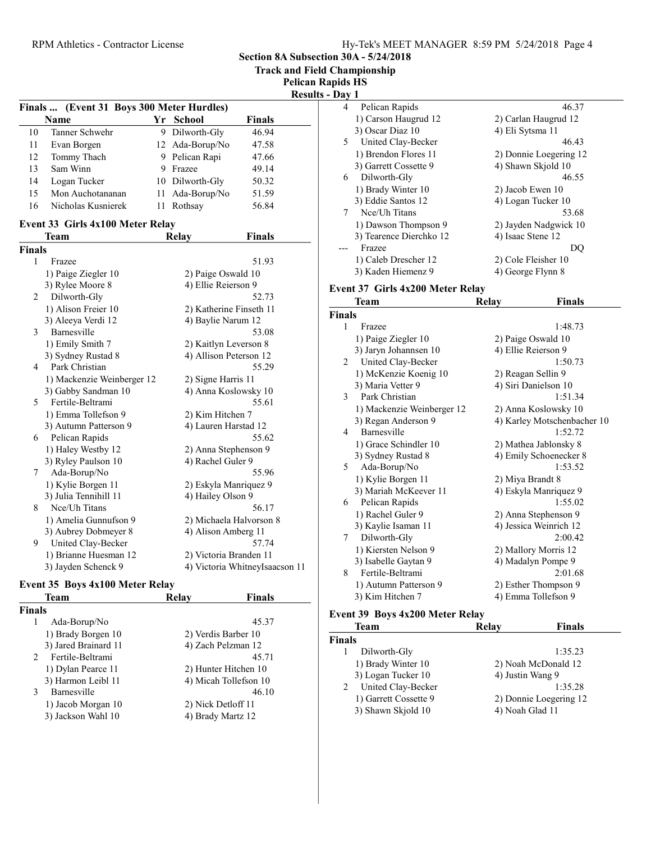Section 8A Subsection 30A - 5/24/2018

Track and Field Championship

Pelican Rapids HS

| <b>Results - Day 1</b> |
|------------------------|
|------------------------|

|    |                                           |   |                 |        | R |
|----|-------------------------------------------|---|-----------------|--------|---|
|    | Finals  (Event 31 Boys 300 Meter Hurdles) |   |                 |        |   |
|    | <b>Name</b>                               |   | Yr School       | Finals |   |
| 10 | Tanner Schwehr                            |   | 9 Dilworth-Gly  | 46.94  |   |
| 11 | Evan Borgen                               |   | 12 Ada-Borup/No | 47.58  |   |
| 12 | Tommy Thach                               |   | 9 Pelican Rapi  | 47.66  |   |
| 13 | Sam Winn                                  | 9 | Frazee          | 49.14  |   |
| 14 | Logan Tucker                              |   | 10 Dilworth-Gly | 50.32  |   |
| 15 | Mon Auchotananan                          |   | 11 Ada-Borup/No | 51.59  |   |
| 16 | Nicholas Kusnierek                        |   | Rothsav         | 56.84  |   |

# Event 33 Girls 4x100 Meter Relay

|        | Team                       | Relay | <b>Finals</b>                  |
|--------|----------------------------|-------|--------------------------------|
| Finals |                            |       |                                |
| 1      | Frazee                     |       | 51.93                          |
|        | 1) Paige Ziegler 10        |       | 2) Paige Oswald 10             |
|        | 3) Rylee Moore 8           |       | 4) Ellie Reierson 9            |
| 2      | Dilworth-Gly               |       | 52.73                          |
|        | 1) Alison Freier 10        |       | 2) Katherine Finseth 11        |
|        | 3) Aleeya Verdi 12         |       | 4) Baylie Narum 12             |
| 3      | Barnesville                |       | 53.08                          |
|        | 1) Emily Smith 7           |       | 2) Kaitlyn Leverson 8          |
|        | 3) Sydney Rustad 8         |       | 4) Allison Peterson 12         |
| 4      | Park Christian             |       | 55.29                          |
|        | 1) Mackenzie Weinberger 12 |       | 2) Signe Harris 11             |
|        | 3) Gabby Sandman 10        |       | 4) Anna Koslowsky 10           |
| 5      | Fertile-Beltrami           |       | 55.61                          |
|        | 1) Emma Tollefson 9        |       | 2) Kim Hitchen 7               |
|        | 3) Autumn Patterson 9      |       | 4) Lauren Harstad 12           |
| 6      | Pelican Rapids             |       | 55.62                          |
|        | 1) Haley Westby 12         |       | 2) Anna Stephenson 9           |
|        | 3) Ryley Paulson 10        |       | 4) Rachel Guler 9              |
| 7      | Ada-Borup/No               |       | 55.96                          |
|        | 1) Kylie Borgen 11         |       | 2) Eskyla Manriquez 9          |
|        | 3) Julia Tennihill 11      |       | 4) Hailey Olson 9              |
| 8      | Nee/Uh Titans              |       | 56.17                          |
|        | 1) Amelia Gunnufson 9      |       | 2) Michaela Halvorson 8        |
|        | 3) Aubrey Dobmeyer 8       |       | 4) Alison Amberg 11            |
| 9      | United Clay-Becker         |       | 57.74                          |
|        | 1) Brianne Huesman 12      |       | 2) Victoria Branden 11         |
|        | 3) Jayden Schenck 9        |       | 4) Victoria WhitneyIsaacson 11 |

#### Event 35 Boys 4x100 Meter Relay

| Team                               | Relay | <b>Finals</b>         |
|------------------------------------|-------|-----------------------|
| <b>Finals</b>                      |       |                       |
| Ada-Borup/No<br>1                  |       | 45.37                 |
| 1) Brady Borgen 10                 |       | 2) Verdis Barber 10   |
| 3) Jared Brainard 11               |       | 4) Zach Pelzman 12    |
| Fertile-Beltrami<br>$\mathfrak{D}$ |       | 45.71                 |
| 1) Dylan Pearce 11                 |       | 2) Hunter Hitchen 10  |
| 3) Harmon Leibl 11                 |       | 4) Micah Tollefson 10 |
| Barnesville<br>3                   |       | 46.10                 |
| 1) Jacob Morgan 10                 |       | 2) Nick Detloff 11    |
| 3) Jackson Wahl 10                 |       | 4) Brady Martz 12     |
|                                    |       |                       |

| Dav 1 |                         |                        |
|-------|-------------------------|------------------------|
| 4     | Pelican Rapids          | 46.37                  |
|       | 1) Carson Haugrud 12    | 2) Carlan Haugrud 12   |
|       | 3) Oscar Diaz 10        | 4) Eli Sytsma 11       |
| 5.    | United Clay-Becker      | 46.43                  |
|       | 1) Brendon Flores 11    | 2) Donnie Loegering 12 |
|       | 3) Garrett Cossette 9   | 4) Shawn Skjold 10     |
| 6     | Dilworth-Gly            | 46.55                  |
|       | 1) Brady Winter 10      | 2) Jacob Ewen 10       |
|       | 3) Eddie Santos 12      | 4) Logan Tucker 10     |
| 7     | Nce/Uh Titans           | 53.68                  |
|       | 1) Dawson Thompson 9    | 2) Jayden Nadgwick 10  |
|       | 3) Tearence Dierchko 12 | 4) Isaac Stene 12      |
|       | Frazee                  | DO                     |
|       | 1) Caleb Drescher 12    | 2) Cole Fleisher 10    |
|       | 3) Kaden Hiemenz 9      | 4) George Flynn 8      |

#### Event 37 Girls 4x200 Meter Relay

|               | <b>Team</b>                | Relay | <b>Finals</b>               |
|---------------|----------------------------|-------|-----------------------------|
| <b>Finals</b> |                            |       |                             |
| 1             | Frazee                     |       | 1:48.73                     |
|               | 1) Paige Ziegler 10        |       | 2) Paige Oswald 10          |
|               | 3) Jaryn Johannsen 10      |       | 4) Ellie Reierson 9         |
| 2             | United Clay-Becker         |       | 1:50.73                     |
|               | 1) McKenzie Koenig 10      |       | 2) Reagan Sellin 9          |
|               | 3) Maria Vetter 9          |       | 4) Siri Danielson 10        |
| 3             | Park Christian             |       | 1:51.34                     |
|               | 1) Mackenzie Weinberger 12 |       | 2) Anna Koslowsky 10        |
|               | 3) Regan Anderson 9        |       | 4) Karley Motschenbacher 10 |
| 4             | Barnesville                |       | 1:52.72                     |
|               | 1) Grace Schindler 10      |       | 2) Mathea Jablonsky 8       |
|               | 3) Sydney Rustad 8         |       | 4) Emily Schoenecker 8      |
| 5             | Ada-Borup/No               |       | 1:53.52                     |
|               | 1) Kylie Borgen 11         |       | 2) Miya Brandt 8            |
|               | 3) Mariah McKeever 11      |       | 4) Eskyla Manriquez 9       |
| 6             | Pelican Rapids             |       | 1:55.02                     |
|               | 1) Rachel Guler 9          |       | 2) Anna Stephenson 9        |
|               | 3) Kaylie Isaman 11        |       | 4) Jessica Weinrich 12      |
| 7             | Dilworth-Gly               |       | 2:00.42                     |
|               | 1) Kiersten Nelson 9       |       | 2) Mallory Morris 12        |
|               | 3) Isabelle Gaytan 9       |       | 4) Madalyn Pompe 9          |
| 8             | Fertile-Beltrami           |       | 2:01.68                     |
|               | 1) Autumn Patterson 9      |       | 2) Esther Thompson 9        |
|               | 3) Kim Hitchen 7           |       | 4) Emma Tollefson 9         |

#### Event 39 Boys 4x200 Meter Relay

| Team                    | Relay            | <b>Finals</b>          |  |
|-------------------------|------------------|------------------------|--|
| Finals                  |                  |                        |  |
| Dilworth-Gly            |                  | 1:35.23                |  |
| 1) Brady Winter 10      |                  | 2) Noah McDonald 12    |  |
| 3) Logan Tucker 10      | 4) Justin Wang 9 |                        |  |
| United Clay-Becker<br>2 |                  | 1:35.28                |  |
| 1) Garrett Cossette 9   |                  | 2) Donnie Loegering 12 |  |
| 3) Shawn Skjold 10      | 4) Noah Glad 11  |                        |  |
|                         |                  |                        |  |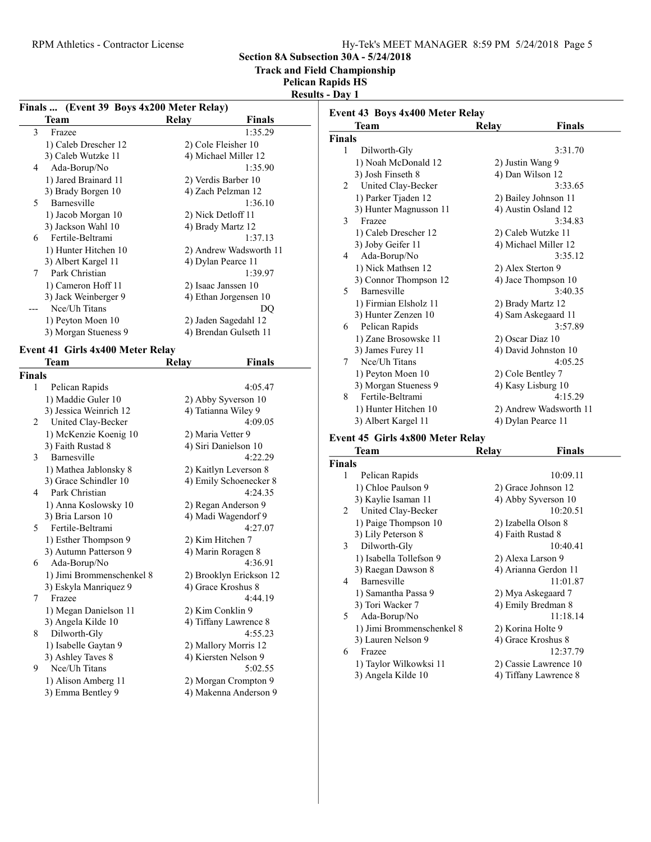Section 8A Subsection 30A - 5/24/2018

Track and Field Championship

Pelican Rapids HS

Results - Day 1

|                | Finals  (Event 39 Boys 4x200 Meter Relay) |                       |                         | Event 43 Boys 4x400 Meter Relay               |                   |                        |
|----------------|-------------------------------------------|-----------------------|-------------------------|-----------------------------------------------|-------------------|------------------------|
|                | <b>Team</b>                               | Relay                 | <b>Finals</b>           | <b>Team</b>                                   | <b>Relay</b>      | <b>Finals</b>          |
| 3              | Frazee                                    |                       | 1:35.29                 | <b>Finals</b>                                 |                   |                        |
|                | 1) Caleb Drescher 12                      | 2) Cole Fleisher 10   |                         | Dilworth-Gly<br>$\mathbf{1}$                  |                   | 3:31.70                |
|                | 3) Caleb Wutzke 11                        | 4) Michael Miller 12  |                         | 1) Noah McDonald 12                           | 2) Justin Wang 9  |                        |
| 4              | Ada-Borup/No                              |                       | 1:35.90                 | 3) Josh Finseth 8                             | 4) Dan Wilson 12  |                        |
|                | 1) Jared Brainard 11                      | 2) Verdis Barber 10   |                         |                                               |                   | 3:33.65                |
|                | 3) Brady Borgen 10                        | 4) Zach Pelzman 12    |                         | United Clay-Becker<br>2                       |                   |                        |
| 5              | Barnesville                               |                       | 1:36.10                 | 1) Parker Tjaden 12                           |                   | 2) Bailey Johnson 11   |
|                | 1) Jacob Morgan 10                        | 2) Nick Detloff 11    |                         | 3) Hunter Magnusson 11                        |                   | 4) Austin Osland 12    |
|                | 3) Jackson Wahl 10                        | 4) Brady Martz 12     |                         | Frazee<br>3                                   |                   | 3:34.83                |
| 6              | Fertile-Beltrami                          |                       | 1:37.13                 | 1) Caleb Drescher 12                          |                   | 2) Caleb Wutzke 11     |
|                | 1) Hunter Hitchen 10                      |                       | 2) Andrew Wadsworth 11  | 3) Joby Geifer 11                             |                   | 4) Michael Miller 12   |
|                | 3) Albert Kargel 11                       | 4) Dylan Pearce 11    |                         | Ada-Borup/No<br>4                             |                   | 3:35.12                |
| 7              | Park Christian                            |                       | 1:39.97                 | 1) Nick Mathsen 12                            | 2) Alex Sterton 9 |                        |
|                | 1) Cameron Hoff 11                        | 2) Isaac Janssen 10   |                         | 3) Connor Thompson 12                         |                   | 4) Jace Thompson 10    |
|                |                                           |                       |                         | Barnesville<br>5                              |                   | 3:40.35                |
|                | 3) Jack Weinberger 9                      |                       | 4) Ethan Jorgensen 10   | 1) Firmian Elsholz 11                         | 2) Brady Martz 12 |                        |
|                | Nce/Uh Titans                             |                       | DQ                      | 3) Hunter Zenzen 10                           |                   | 4) Sam Askegaard 11    |
|                | 1) Peyton Moen 10                         | 2) Jaden Sagedahl 12  |                         | Pelican Rapids<br>6                           |                   | 3:57.89                |
|                | 3) Morgan Stueness 9                      |                       | 4) Brendan Gulseth 11   | 1) Zane Brosowske 11                          | 2) Oscar Diaz 10  |                        |
|                | Event 41 Girls 4x400 Meter Relay          |                       |                         | 3) James Furey 11                             |                   | 4) David Johnston 10   |
|                | <b>Team</b>                               | Relay                 | <b>Finals</b>           | Nce/Uh Titans<br>7                            |                   | 4:05.25                |
|                |                                           |                       |                         | 1) Peyton Moen 10                             | 2) Cole Bentley 7 |                        |
| <b>Finals</b>  |                                           |                       |                         |                                               |                   | 4) Kasy Lisburg 10     |
| $\mathbf{1}$   | Pelican Rapids                            |                       | 4:05.47                 | 3) Morgan Stueness 9<br>Fertile-Beltrami<br>8 |                   | 4:15.29                |
|                | 1) Maddie Guler 10                        | 2) Abby Syverson 10   |                         |                                               |                   |                        |
|                | 3) Jessica Weinrich 12                    | 4) Tatianna Wiley 9   |                         | 1) Hunter Hitchen 10                          |                   | 2) Andrew Wadsworth 11 |
| 2              | United Clay-Becker                        |                       | 4:09.05                 | 3) Albert Kargel 11                           |                   | 4) Dylan Pearce 11     |
|                | 1) McKenzie Koenig 10                     | 2) Maria Vetter 9     |                         | Event 45 Girls 4x800 Meter Relay              |                   |                        |
|                | 3) Faith Rustad 8                         | 4) Siri Danielson 10  |                         | <b>Team</b>                                   | <b>Relay</b>      | <b>Finals</b>          |
| 3              | Barnesville                               |                       | 4:22.29                 | <b>Finals</b>                                 |                   |                        |
|                | 1) Mathea Jablonsky 8                     | 2) Kaitlyn Leverson 8 |                         |                                               |                   |                        |
|                | 3) Grace Schindler 10                     |                       | 4) Emily Schoenecker 8  | Pelican Rapids<br>1                           |                   | 10:09.11               |
| 4              | Park Christian                            |                       | 4:24.35                 | 1) Chloe Paulson 9                            |                   | 2) Grace Johnson 12    |
|                | 1) Anna Koslowsky 10                      | 2) Regan Anderson 9   |                         | 3) Kaylie Isaman 11                           |                   | 4) Abby Syverson 10    |
|                | 3) Bria Larson 10                         | 4) Madi Wagendorf 9   |                         | United Clay-Becker<br>2                       |                   | 10:20.51               |
| 5              | Fertile-Beltrami                          |                       | 4:27.07                 | 1) Paige Thompson 10                          |                   | 2) Izabella Olson 8    |
|                | 1) Esther Thompson 9                      | 2) Kim Hitchen 7      |                         | 3) Lily Peterson 8                            | 4) Faith Rustad 8 |                        |
|                | 3) Autumn Patterson 9                     | 4) Marin Roragen 8    |                         | Dilworth-Gly<br>3                             |                   | 10:40.41               |
| 6              | Ada-Borup/No                              |                       | 4:36.91                 | 1) Isabella Tollefson 9                       | 2) Alexa Larson 9 |                        |
|                | 1) Jimi Brommenschenkel 8                 |                       | 2) Brooklyn Erickson 12 | 3) Raegan Dawson 8                            |                   | 4) Arianna Gerdon 11   |
|                | 3) Eskyla Manriquez 9                     | 4) Grace Kroshus 8    |                         | 4 Barnesville                                 |                   | 11:01.87               |
| $7\phantom{.}$ | Frazee                                    |                       | 4:44.19                 | 1) Samantha Passa 9                           |                   | 2) Mya Askegaard 7     |
|                |                                           |                       |                         | 3) Tori Wacker 7                              |                   | 4) Emily Bredman 8     |
|                | 1) Megan Danielson 11                     | 2) Kim Conklin 9      |                         | Ada-Borup/No<br>5                             |                   | 11:18.14               |
|                | 3) Angela Kilde 10                        |                       | 4) Tiffany Lawrence 8   | 1) Jimi Brommenschenkel 8                     | 2) Korina Holte 9 |                        |
|                | Dilworth-Gly                              |                       | 4:55.23                 | 3) Lauren Nelson 9                            |                   | 4) Grace Kroshus 8     |
| 8              | 1) Isabelle Gaytan 9                      | 2) Mallory Morris 12  |                         | Frazee<br>6                                   |                   | 12:37.79               |
|                |                                           |                       |                         |                                               |                   |                        |
|                | 3) Ashley Taves 8                         | 4) Kiersten Nelson 9  |                         |                                               |                   |                        |
| 9              | Nce/Uh Titans                             |                       | 5:02.55                 | 1) Taylor Wilkowksi 11                        |                   | 2) Cassie Lawrence 10  |
|                | 1) Alison Amberg 11                       |                       | 2) Morgan Crompton 9    | 3) Angela Kilde 10                            |                   | 4) Tiffany Lawrence 8  |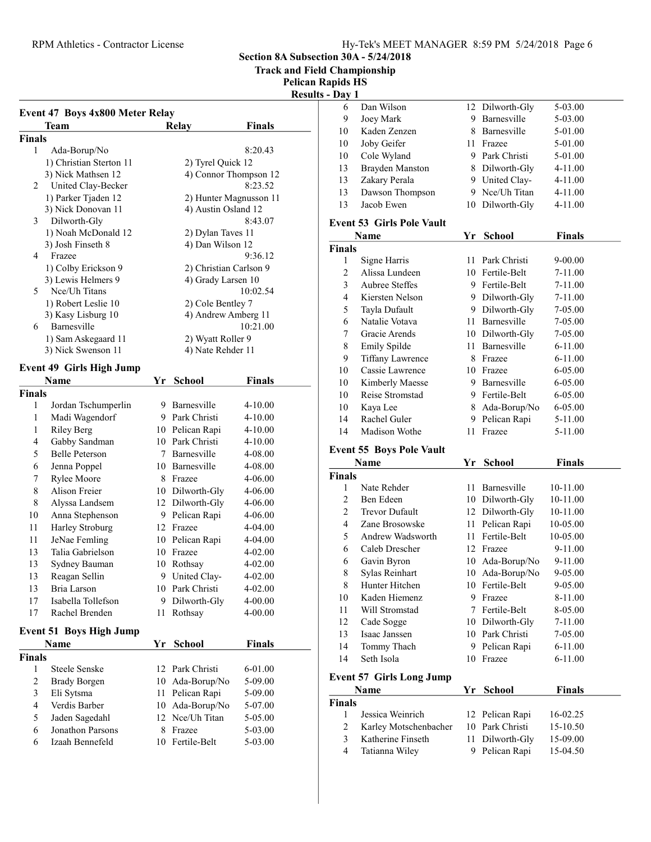RPM Athletics - Contractor License

Section 8A Subsection 30A - 5/24/2018

Track and Field Championship

Pelican Rapids HS

Results - Day 1

| <b>Finals</b><br>1<br>Ada-Borup/No<br>1) Christian Sterton 11<br>2) Tyrel Quick 12<br>3) Nick Mathsen 12<br>4) Connor Thompson 12<br>United Clay-Becker<br>$\mathfrak{D}_{\mathfrak{p}}$<br>1) Parker Tjaden 12<br>2) Hunter Magnusson 11<br>3) Nick Donovan 11<br>4) Austin Osland 12<br>3<br>Dilworth-Gly<br>1) Noah McDonald 12<br>2) Dylan Taves 11<br>3) Josh Finseth 8<br>4) Dan Wilson 12<br>Frazee<br>4<br>2) Christian Carlson 9<br>1) Colby Erickson 9 | 8:20.43<br>8:23.52<br>8:43.07<br>9:36.12 |
|------------------------------------------------------------------------------------------------------------------------------------------------------------------------------------------------------------------------------------------------------------------------------------------------------------------------------------------------------------------------------------------------------------------------------------------------------------------|------------------------------------------|
|                                                                                                                                                                                                                                                                                                                                                                                                                                                                  |                                          |
|                                                                                                                                                                                                                                                                                                                                                                                                                                                                  |                                          |
|                                                                                                                                                                                                                                                                                                                                                                                                                                                                  |                                          |
|                                                                                                                                                                                                                                                                                                                                                                                                                                                                  |                                          |
|                                                                                                                                                                                                                                                                                                                                                                                                                                                                  |                                          |
|                                                                                                                                                                                                                                                                                                                                                                                                                                                                  |                                          |
|                                                                                                                                                                                                                                                                                                                                                                                                                                                                  |                                          |
|                                                                                                                                                                                                                                                                                                                                                                                                                                                                  |                                          |
|                                                                                                                                                                                                                                                                                                                                                                                                                                                                  |                                          |
|                                                                                                                                                                                                                                                                                                                                                                                                                                                                  |                                          |
|                                                                                                                                                                                                                                                                                                                                                                                                                                                                  |                                          |
|                                                                                                                                                                                                                                                                                                                                                                                                                                                                  |                                          |
| 3) Lewis Helmers 9<br>4) Grady Larsen 10                                                                                                                                                                                                                                                                                                                                                                                                                         |                                          |
| Nce/Uh Titans<br>5                                                                                                                                                                                                                                                                                                                                                                                                                                               | 10:02.54                                 |
| 1) Robert Leslie 10<br>2) Cole Bentley 7                                                                                                                                                                                                                                                                                                                                                                                                                         |                                          |
| 3) Kasy Lisburg 10<br>4) Andrew Amberg 11                                                                                                                                                                                                                                                                                                                                                                                                                        |                                          |
| <b>Barnesville</b><br>6                                                                                                                                                                                                                                                                                                                                                                                                                                          | 10:21.00                                 |
| 1) Sam Askegaard 11<br>2) Wyatt Roller 9                                                                                                                                                                                                                                                                                                                                                                                                                         |                                          |
| 3) Nick Swenson 11<br>4) Nate Rehder 11                                                                                                                                                                                                                                                                                                                                                                                                                          |                                          |
| <b>Event 49 Girls High Jump</b>                                                                                                                                                                                                                                                                                                                                                                                                                                  |                                          |
| <b>Name</b><br>Yr<br>School                                                                                                                                                                                                                                                                                                                                                                                                                                      | <b>Finals</b>                            |
| <b>Finals</b>                                                                                                                                                                                                                                                                                                                                                                                                                                                    |                                          |
| 9 Barnesville<br>1<br>Jordan Tschumperlin                                                                                                                                                                                                                                                                                                                                                                                                                        | $4 - 10.00$                              |
| 9 Park Christi<br>Madi Wagendorf<br>1                                                                                                                                                                                                                                                                                                                                                                                                                            | $4 - 10.00$                              |
| 1<br><b>Riley Berg</b><br>10 Pelican Rapi                                                                                                                                                                                                                                                                                                                                                                                                                        | $4 - 10.00$                              |

|               | maal mageliaoli                |    |                 |               |  |
|---------------|--------------------------------|----|-----------------|---------------|--|
| 1             | <b>Riley Berg</b>              | 10 | Pelican Rapi    | $4 - 10.00$   |  |
| 4             | Gabby Sandman                  | 10 | Park Christi    | $4 - 10.00$   |  |
| 5             | <b>Belle Peterson</b>          | 7  | Barnesville     | 4-08.00       |  |
| 6             | Jenna Poppel                   |    | 10 Barnesville  | 4-08.00       |  |
| 7             | Rylee Moore                    | 8  | Frazee          | $4 - 06.00$   |  |
| 8             | Alison Freier                  |    | 10 Dilworth-Gly | $4 - 06.00$   |  |
| 8             | Alyssa Landsem                 |    | 12 Dilworth-Gly | $4 - 06.00$   |  |
| 10            | Anna Stephenson                | 9  | Pelican Rapi    | 4-06.00       |  |
| 11            | Harley Stroburg                | 12 | Frazee          | $4 - 04.00$   |  |
| 11            | JeNae Femling                  | 10 | Pelican Rapi    | 4-04.00       |  |
| 13            | Talia Gabrielson               | 10 | Frazee          | $4 - 02.00$   |  |
| 13            | Sydney Bauman                  | 10 | Rothsay         | 4-02.00       |  |
| 13            | Reagan Sellin                  |    | 9 United Clay-  | $4 - 02.00$   |  |
| 13            | Bria Larson                    |    | 10 Park Christi | $4 - 02.00$   |  |
| 17            | Isabella Tollefson             | 9  | Dilworth-Gly    | $4 - 00.00$   |  |
| 17            | Rachel Brenden                 | 11 | Rothsay         | 4-00.00       |  |
|               | <b>Event 51 Boys High Jump</b> |    |                 |               |  |
|               | Name                           | Yr | School          | <b>Finals</b> |  |
| <b>Finals</b> |                                |    |                 |               |  |
| 1             | Steele Senske                  | 12 | Park Christi    | 6-01.00       |  |
| 2             | <b>Brady Borgen</b>            | 10 | Ada-Borup/No    | 5-09.00       |  |
| 3             | Eli Sytsma                     | 11 | Pelican Rapi    | 5-09.00       |  |
| 4             | Verdis Barber                  | 10 | Ada-Borup/No    | 5-07.00       |  |
| 5             | Jaden Sagedahl                 | 12 | Nee/Uh Titan    | 5-05.00       |  |
| 6             | Jonathon Parsons               | 8  | Frazee          | 5-03.00       |  |

6 5-03.00 Izaah Bennefeld 10 Fertile-Belt

| - пау 1 |                                  |    |                 |             |  |
|---------|----------------------------------|----|-----------------|-------------|--|
| 6       | Dan Wilson                       |    | 12 Dilworth-Gly | 5-03.00     |  |
| 9       | Joey Mark                        | 9  | Barnesville     | 5-03.00     |  |
| 10      | Kaden Zenzen                     | 8  | Barnesville     | 5-01.00     |  |
| 10      | Joby Geifer                      | 11 | Frazee          | 5-01.00     |  |
| 10      | Cole Wyland                      |    | 9 Park Christi  | 5-01.00     |  |
| 13      | Brayden Manston                  | 8  | Dilworth-Gly    | 4-11.00     |  |
| 13      | Zakary Perala                    |    | 9 United Clay-  | 4-11.00     |  |
| 13      | Dawson Thompson                  | 9  | Nce/Uh Titan    | 4-11.00     |  |
| 13      | Jacob Ewen                       |    | 10 Dilworth-Gly | 4-11.00     |  |
|         | <b>Event 53 Girls Pole Vault</b> |    |                 |             |  |
|         |                                  | Yr | <b>School</b>   | Finals      |  |
|         | Name                             |    |                 |             |  |
| Finals  |                                  |    |                 |             |  |
| 1       | Signe Harris                     | 11 | Park Christi    | 9-00.00     |  |
| 2       | Alissa Lundeen                   |    | 10 Fertile-Belt | 7-11.00     |  |
| 3       | Aubree Steffes                   |    | 9 Fertile-Belt  | $7-11.00$   |  |
| 4       | Kiersten Nelson                  | 9. | Dilworth-Gly    | 7-11.00     |  |
| 5       | Tayla Dufault                    | 9  | Dilworth-Gly    | 7-05.00     |  |
| 6       | Natalie Votava                   | 11 | Barnesville     | 7-05.00     |  |
| 7       | Gracie Arends                    |    | 10 Dilworth-Gly | 7-05.00     |  |
| 8       | Emily Spilde                     | 11 | Barnesville     | $6-11.00$   |  |
| 9       | <b>Tiffany Lawrence</b>          | 8  | Frazee          | $6 - 11.00$ |  |
| 10      | Cassie Lawrence                  | 10 | Frazee          | 6-05.00     |  |

| 10 | Reise Stromstad | 9 Fertile-Belt | 6-05.00 |
|----|-----------------|----------------|---------|
|    | 10 Kaya Lee     | 8 Ada-Borup/No | 6-05.00 |
| 14 | Rachel Guler    | 9 Pelican Rapi | 5-11.00 |
| 14 | Madison Wothe   | 11 Frazee      | 5-11.00 |

#### Event 55 Boys Pole Vault

| Name           |                                 | Yr | School          | Finals      |
|----------------|---------------------------------|----|-----------------|-------------|
| <b>Finals</b>  |                                 |    |                 |             |
| 1              | Nate Rehder                     | 11 | Barnesville     | 10-11.00    |
| 2              | Ben Edeen                       | 10 | Dilworth-Gly    | 10-11.00    |
| $\overline{c}$ | <b>Trevor Dufault</b>           | 12 | Dilworth-Gly    | 10-11.00    |
| 4              | Zane Brosowske                  | 11 | Pelican Rapi    | 10-05.00    |
| 5              | Andrew Wadsworth                | 11 | Fertile-Belt    | 10-05.00    |
| 6              | Caleb Drescher                  | 12 | Frazee          | 9-11.00     |
| 6              | Gavin Byron                     | 10 | Ada-Borup/No    | 9-11.00     |
| 8              | Sylas Reinhart                  | 10 | Ada-Borup/No    | 9-05.00     |
| 8              | Hunter Hitchen                  | 10 | Fertile-Belt    | 9-05.00     |
| 10             | Kaden Hiemenz                   | 9  | Frazee          | 8-11.00     |
| 11             | Will Stromstad                  | 7  | Fertile-Belt    | 8-05.00     |
| 12             | Cade Sogge                      | 10 | Dilworth-Gly    | 7-11.00     |
| 13             | Isaac Janssen                   | 10 | Park Christi    | 7-05.00     |
| 14             | Tommy Thach                     | 9  | Pelican Rapi    | $6 - 11.00$ |
| 14             | Seth Isola                      | 10 | Frazee          | $6 - 11.00$ |
|                | <b>Event 57 Girls Long Jump</b> |    |                 |             |
|                | Name                            | Yr | School          | Finals      |
| Finals         |                                 |    |                 |             |
| 1              | Jessica Weinrich                |    | 12 Pelican Rapi | 16-02.25    |
| 2              | Karley Motschenbacher           |    | 10 Park Christi | 15-10.50    |

3 Katherine Finseth 11 Dilworth-Gly 15-09.00 4 Tatianna Wiley 9 Pelican Rapi 15-04.50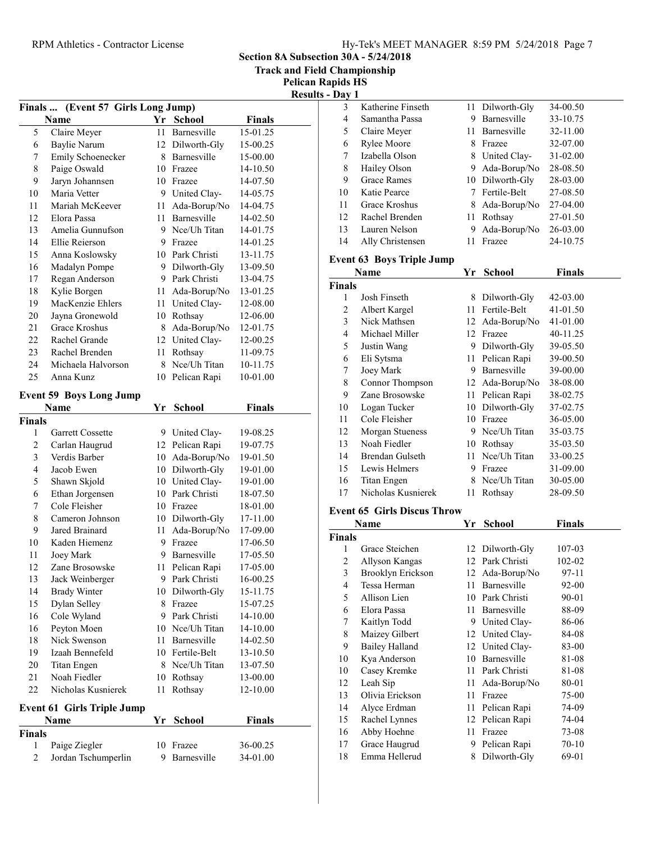Section 8A Subsection 30A - 5/24/2018

Track and Field Championship

Pelican Rapids HS sults - Day 1

|                |                                            |      |                 |               | <b>Resu</b> |
|----------------|--------------------------------------------|------|-----------------|---------------|-------------|
|                | Finals  (Event 57 Girls Long Jump)<br>Name | Yr   | <b>School</b>   | <b>Finals</b> |             |
| 5              | Claire Meyer                               | 11   | Barnesville     | 15-01.25      |             |
| 6              | Baylie Narum                               |      | 12 Dilworth-Gly | 15-00.25      |             |
| 7              | Emily Schoenecker                          |      | 8 Barnesville   | 15-00.00      |             |
| 8              | Paige Oswald                               |      | 10 Frazee       | 14-10.50      |             |
| 9              | Jaryn Johannsen                            |      | 10 Frazee       | 14-07.50      |             |
| 10             | Maria Vetter                               |      | 9 United Clay-  | 14-05.75      |             |
| 11             | Mariah McKeever                            | 11 - | Ada-Borup/No    | 14-04.75      |             |
| 12             | Elora Passa                                |      | 11 Barnesville  | 14-02.50      |             |
| 13             | Amelia Gunnufson                           |      | 9 Nce/Uh Titan  | 14-01.75      |             |
| 14             | Ellie Reierson                             |      | 9 Frazee        | 14-01.25      |             |
| 15             | Anna Koslowsky                             |      | 10 Park Christi | 13-11.75      |             |
| 16             | Madalyn Pompe                              |      | 9 Dilworth-Gly  | 13-09.50      |             |
| 17             | Regan Anderson                             |      | 9 Park Christi  | 13-04.75      |             |
| 18             | Kylie Borgen                               |      | 11 Ada-Borup/No | 13-01.25      |             |
| 19             | MacKenzie Ehlers                           |      | 11 United Clay- | 12-08.00      |             |
| 20             | Jayna Gronewold                            |      | 10 Rothsay      | 12-06.00      |             |
| 21             | Grace Kroshus                              | 8.   | Ada-Borup/No    | 12-01.75      |             |
| 22             | Rachel Grande                              |      | 12 United Clay- | 12-00.25      |             |
| 23             | Rachel Brenden                             | 11   | Rothsay         | 11-09.75      |             |
| 24             | Michaela Halvorson                         | 8    | Nce/Uh Titan    | 10-11.75      |             |
| 25             | Anna Kunz                                  | 10   | Pelican Rapi    | 10-01.00      |             |
|                | <b>Event 59 Boys Long Jump</b>             |      |                 |               |             |
|                | Name                                       | Yr   | <b>School</b>   | <b>Finals</b> |             |
| <b>Finals</b>  |                                            |      |                 |               |             |
| 1              | Garrett Cossette                           |      | 9 United Clay-  | 19-08.25      |             |
| $\overline{c}$ | Carlan Haugrud                             |      | 12 Pelican Rapi | 19-07.75      |             |
| 3              | Verdis Barber                              |      | 10 Ada-Borup/No | 19-01.50      |             |
| 4              | Jacob Ewen                                 |      | 10 Dilworth-Gly | 19-01.00      |             |
| 5              | Shawn Skjold                               |      | 10 United Clay- | 19-01.00      |             |
| 6              | Ethan Jorgensen                            |      | 10 Park Christi | 18-07.50      |             |
| 7              | Cole Fleisher                              |      | 10 Frazee       | 18-01.00      |             |
| 8              | Cameron Johnson                            |      | 10 Dilworth-Gly | 17-11.00      |             |
| 9              | Jared Brainard                             | 11 - | Ada-Borup/No    | 17-09.00      |             |
| 10             | Kaden Hiemenz                              |      | 9 Frazee        | 17-06.50      |             |
| 11             | Joey Mark                                  | 9.   | Barnesville     | 17-05.50      |             |
| 12             | Zane Brosowske                             |      | 11 Pelican Rapi | 17-05.00      |             |
| 13             | Jack Weinberger                            |      | 9 Park Christi  | 16-00.25      |             |
| 14             | <b>Brady Winter</b>                        | 10   | Dilworth-Gly    | 15-11.75      |             |
| 15             | Dylan Selley                               |      | 8 Frazee        | 15-07.25      |             |
| 16             | Cole Wyland                                |      | 9 Park Christi  | 14-10.00      |             |
| 16             | Peyton Moen                                |      | 10 Nee/Uh Titan | 14-10.00      |             |
| 18             | Nick Swenson                               | 11 - | Barnesville     | 14-02.50      |             |
| 19             | Izaah Bennefeld                            |      | 10 Fertile-Belt | 13-10.50      |             |
| 20             | Titan Engen                                | 8    | Nce/Uh Titan    | 13-07.50      |             |
| 21             | Noah Fiedler                               | 10   | Rothsay         | 13-00.00      |             |
| 22             | Nicholas Kusnierek                         | 11   | Rothsay         | 12-10.00      |             |
|                | <b>Event 61 Girls Triple Jump</b>          |      |                 |               |             |
|                | Name                                       | Yr   | <b>School</b>   | <b>Finals</b> |             |
| <b>Finals</b>  |                                            |      |                 |               |             |
| 1              | Paige Ziegler                              | 10   | Frazee          | 36-00.25      |             |
| $\overline{c}$ | Jordan Tschumperlin                        | 9    | Barnesville     | 34-01.00      |             |
|                |                                            |      |                 |               |             |

| 3             |                                    |         |                              |                    |  |
|---------------|------------------------------------|---------|------------------------------|--------------------|--|
|               | Katherine Finseth                  |         | 11 Dilworth-Gly              | 34-00.50           |  |
| 4             | Samantha Passa                     |         | 9 Barnesville                | 33-10.75           |  |
| 5             | Claire Meyer                       |         | 11 Barnesville               | 32-11.00           |  |
| 6             | Rylee Moore                        |         | 8 Frazee                     | 32-07.00           |  |
| 7             | Izabella Olson                     |         | 8 United Clay-               | 31-02.00           |  |
| 8             | Hailey Olson                       |         | 9 Ada-Borup/No               | 28-08.50           |  |
| 9             | <b>Grace Rames</b>                 |         | 10 Dilworth-Gly              | 28-03.00           |  |
| 10            | Katie Pearce                       |         | 7 Fertile-Belt               | 27-08.50           |  |
| 11            | Grace Kroshus                      |         | 8 Ada-Borup/No               | 27-04.00           |  |
| 12            | Rachel Brenden                     |         | 11 Rothsay                   | 27-01.50           |  |
| 13            | Lauren Nelson                      | 9.      | Ada-Borup/No                 | 26-03.00           |  |
| 14            | Ally Christensen                   | 11      | Frazee                       | 24-10.75           |  |
|               | <b>Event 63 Boys Triple Jump</b>   |         |                              |                    |  |
|               |                                    |         |                              |                    |  |
|               | Name                               |         | Yr School                    | <b>Finals</b>      |  |
| <b>Finals</b> |                                    |         |                              |                    |  |
| 1             | Josh Finseth                       |         | 8 Dilworth-Gly               | 42-03.00           |  |
| 2             | Albert Kargel                      |         | 11 Fertile-Belt              | 41-01.50           |  |
| 3             | Nick Mathsen                       |         | 12 Ada-Borup/No              | 41-01.00           |  |
| 4             | Michael Miller                     |         | 12 Frazee                    | 40-11.25           |  |
| 5             | Justin Wang                        |         | 9 Dilworth-Gly               | 39-05.50           |  |
| 6             | Eli Sytsma                         |         | 11 Pelican Rapi              | 39-00.50           |  |
| 7             | Joey Mark                          |         | 9 Barnesville                | 39-00.00           |  |
| $\,$ $\,$     | Connor Thompson                    |         | 12 Ada-Borup/No              | 38-08.00           |  |
| 9             | Zane Brosowske                     |         | 11 Pelican Rapi              | 38-02.75           |  |
| 10            | Logan Tucker                       |         | 10 Dilworth-Gly              | 37-02.75           |  |
| 11            | Cole Fleisher                      |         | 10 Frazee                    | 36-05.00           |  |
| 12            | <b>Morgan Stueness</b>             |         | 9 Nce/Uh Titan               | 35-03.75           |  |
| 13            | Noah Fiedler                       |         | 10 Rothsay                   | 35-03.50           |  |
|               |                                    |         | 11 Nce/Uh Titan              | 33-00.25           |  |
| 14            | Brendan Gulseth                    |         |                              |                    |  |
| 15            | Lewis Helmers                      |         | 9 Frazee                     | 31-09.00           |  |
| 16            | Titan Engen                        |         | 8 Nce/Uh Titan               | 30-05.00           |  |
| 17            | Nicholas Kusnierek                 | 11      | Rothsay                      | 28-09.50           |  |
|               |                                    |         |                              |                    |  |
|               | <b>Event 65 Girls Discus Throw</b> |         |                              |                    |  |
|               | Name                               | Yr      | <b>School</b>                | Finals             |  |
| <b>Finals</b> |                                    |         |                              |                    |  |
| 1             | Grace Steichen                     |         | 12 Dilworth-Gly              | 107-03             |  |
| 2             | Allyson Kangas                     |         | 12 Park Christi              | 102-02             |  |
| 3             | Brooklyn Erickson                  |         | 12 Ada-Borup/No              | 97-11              |  |
| 4             | Tessa Herman                       |         | 11 Barnesville               | 92-00              |  |
| 5             | Allison Lien                       |         | 10 Park Christi              | 90-01              |  |
| 6             | Elora Passa                        | 11      | Barnesville                  | 88-09              |  |
| 7             | Kaitlyn Todd                       |         | 9 United Clay-               | 86-06              |  |
| 8             | Maizey Gilbert                     |         | 12 United Clay-              | 84-08              |  |
| 9             | <b>Bailey Halland</b>              |         | 12 United Clay-              | 83-00              |  |
| 10            | Kya Anderson                       |         | 10 Barnesville               | 81-08              |  |
| 10            | Casey Kremke                       | 11      | Park Christi                 | 81-08              |  |
| 12            | Leah Sip                           | 11      | Ada-Borup/No                 | 80-01              |  |
| 13            | Olivia Erickson                    | 11      | Frazee                       | 75-00              |  |
| 14            | Alyce Erdman                       |         | 11 Pelican Rapi              | 74-09              |  |
| 15            | Rachel Lynnes                      | 12      | Pelican Rapi                 | 74-04              |  |
| 16            | Abby Hoehne                        | 11      | Frazee                       | 73-08              |  |
| 17<br>18      | Grace Haugrud<br>Emma Hellerud     | 9.<br>8 | Pelican Rapi<br>Dilworth-Gly | $70 - 10$<br>69-01 |  |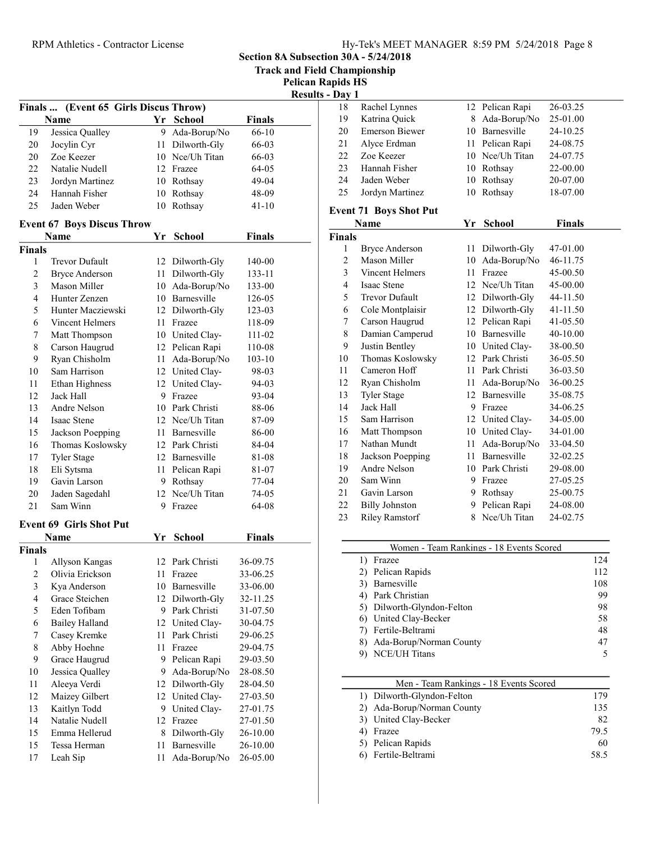| <b>RPM</b> Athletics - Contractor License |                                       |    | Hy-Tek's MEET MANAGER 8:59 PM 5/24/2018 Page 8 |               |                                       |                     |                                       |    |                                          |                      |
|-------------------------------------------|---------------------------------------|----|------------------------------------------------|---------------|---------------------------------------|---------------------|---------------------------------------|----|------------------------------------------|----------------------|
|                                           |                                       |    |                                                |               | Section 8A Subsection 30A - 5/24/2018 |                     |                                       |    |                                          |                      |
|                                           |                                       |    |                                                |               | <b>Track and Field Championship</b>   |                     |                                       |    |                                          |                      |
|                                           |                                       |    |                                                |               | <b>Pelican Rapids HS</b>              |                     |                                       |    |                                          |                      |
|                                           |                                       |    |                                                |               | <b>Results - Day 1</b>                |                     |                                       |    |                                          |                      |
|                                           | Finals  (Event 65 Girls Discus Throw) |    |                                                |               |                                       | 18                  | Rachel Lynnes                         |    | 12 Pelican Rapi                          | 26-03.25             |
|                                           | Name                                  |    | Yr School                                      | <b>Finals</b> |                                       | 19                  | Katrina Quick                         |    | 8 Ada-Borup/No                           | 25-01.00             |
| 19                                        | Jessica Qualley                       |    | 9 Ada-Borup/No                                 | 66-10         |                                       | 20                  | <b>Emerson Biewer</b>                 | 10 | Barnesville                              | 24-10.25             |
| 20                                        | Jocylin Cyr                           |    | 11 Dilworth-Gly                                | 66-03         |                                       | 21                  | Alyce Erdman                          | 11 | Pelican Rapi                             | 24-08.75             |
| 20                                        | Zoe Keezer                            | 10 | Nce/Uh Titan                                   | 66-03         |                                       | 22                  | Zoe Keezer                            | 10 | Nce/Uh Titan                             | 24-07.75             |
| 22                                        | Natalie Nudell                        |    | 12 Frazee                                      | 64-05         |                                       | 23                  | Hannah Fisher                         | 10 | Rothsay                                  | 22-00.00             |
| 23                                        | Jordyn Martinez                       | 10 | Rothsay                                        | 49-04         |                                       | 24                  | Jaden Weber                           | 10 | Rothsay                                  | 20-07.00             |
| 24                                        | Hannah Fisher                         | 10 | Rothsay                                        | 48-09         |                                       | 25                  | Jordyn Martinez                       |    | 10 Rothsay                               | 18-07.00             |
| 25                                        | Jaden Weber                           |    | 10 Rothsay                                     | 41-10         |                                       |                     |                                       |    |                                          |                      |
|                                           |                                       |    |                                                |               |                                       |                     | <b>Event 71 Boys Shot Put</b>         |    |                                          |                      |
|                                           | <b>Event 67 Boys Discus Throw</b>     |    |                                                |               |                                       |                     | Name                                  |    | Yr School                                | <b>Finals</b>        |
|                                           | Name                                  |    | Yr School                                      | <b>Finals</b> |                                       | <b>Finals</b>       |                                       |    |                                          |                      |
| <b>Finals</b>                             |                                       |    |                                                |               |                                       | 1<br>$\overline{2}$ | <b>Bryce Anderson</b><br>Mason Miller |    | 11 Dilworth-Gly                          | 47-01.00<br>46-11.75 |
| 1                                         | Trevor Dufault                        |    | 12 Dilworth-Gly                                | 140-00        |                                       |                     |                                       | 10 | Ada-Borup/No                             |                      |
| $\overline{c}$                            | <b>Bryce Anderson</b>                 |    | 11 Dilworth-Gly                                | 133-11        |                                       | 3                   | <b>Vincent Helmers</b>                | 11 | Frazee                                   | 45-00.50             |
| $\mathfrak{Z}$                            | Mason Miller                          | 10 | Ada-Borup/No                                   | 133-00        |                                       | $\overline{4}$      | Isaac Stene                           | 12 | Nce/Uh Titan                             | 45-00.00             |
| 4                                         | Hunter Zenzen                         | 10 | Barnesville                                    | 126-05        |                                       | 5                   | <b>Trevor Dufault</b>                 | 12 | Dilworth-Gly                             | 44-11.50             |
| 5                                         | Hunter Macziewski                     |    | 12 Dilworth-Gly                                | 123-03        |                                       | 6                   | Cole Montplaisir                      | 12 | Dilworth-Gly                             | 41-11.50             |
| 6                                         | Vincent Helmers                       |    | 11 Frazee                                      | 118-09        |                                       | 7                   | Carson Haugrud                        | 12 | Pelican Rapi                             | 41-05.50             |
| 7                                         | Matt Thompson                         | 10 | United Clay-                                   | 111-02        |                                       | 8                   | Damian Camperud                       | 10 | Barnesville                              | 40-10.00             |
| 8                                         | Carson Haugrud                        | 12 | Pelican Rapi                                   | 110-08        |                                       | 9                   | Justin Bentley                        | 10 | United Clay-                             | 38-00.50             |
| 9                                         | Ryan Chisholm                         | 11 | Ada-Borup/No                                   | $103 - 10$    |                                       | 10                  | Thomas Koslowsky                      |    | 12 Park Christi                          | 36-05.50             |
| 10                                        | Sam Harrison                          |    | 12 United Clay-                                | 98-03         |                                       | 11                  | Cameron Hoff                          | 11 | Park Christi                             | 36-03.50             |
| 11                                        | Ethan Highness                        |    | 12 United Clay-                                | 94-03         |                                       | 12                  | Ryan Chisholm                         | 11 | Ada-Borup/No                             | 36-00.25             |
| 12                                        | Jack Hall                             | 9. | Frazee                                         | 93-04         |                                       | 13                  | <b>Tyler Stage</b>                    | 12 | Barnesville                              | 35-08.75             |
| 13                                        | Andre Nelson                          | 10 | Park Christi                                   | 88-06         |                                       | 14                  | Jack Hall                             | 9  | Frazee                                   | 34-06.25             |
| 14                                        | Isaac Stene                           | 12 | Nce/Uh Titan                                   | 87-09         |                                       | 15                  | Sam Harrison                          | 12 | United Clay-                             | 34-05.00             |
| 15                                        | Jackson Poepping                      | 11 | Barnesville                                    | 86-00         |                                       | 16                  | Matt Thompson                         | 10 | United Clay-                             | 34-01.00             |
| 16                                        | Thomas Koslowsky                      |    | 12 Park Christi                                | 84-04         |                                       | 17                  | Nathan Mundt                          | 11 | Ada-Borup/No                             | 33-04.50             |
| 17                                        | <b>Tyler Stage</b>                    |    | 12 Barnesville                                 | 81-08         |                                       | 18                  | Jackson Poepping                      | 11 | Barnesville                              | 32-02.25             |
| 18                                        | Eli Sytsma                            |    | 11 Pelican Rapi                                | 81-07         |                                       | 19                  | Andre Nelson                          | 10 | Park Christi                             | 29-08.00             |
| 19                                        | Gavin Larson                          |    | 9 Rothsay                                      | $77 - 04$     |                                       | 20                  | Sam Winn                              |    | 9 Frazee                                 | 27-05.25             |
| 20                                        | Jaden Sagedahl                        | 12 | Nce/Uh Titan                                   | 74-05         |                                       | 21                  | Gavin Larson                          | 9  | Rothsay                                  | 25-00.75             |
| 21                                        | Sam Winn                              |    | 9 Frazee                                       | 64-08         |                                       | 22                  | <b>Billy Johnston</b>                 |    | 9 Pelican Rapi                           | 24-08.00             |
|                                           | <b>Event 69 Girls Shot Put</b>        |    |                                                |               |                                       | 23                  | <b>Riley Ramstorf</b>                 |    | 8 Nce/Uh Titan                           | 24-02.75             |
|                                           | Name                                  |    | Yr School                                      | Finals        |                                       |                     |                                       |    |                                          |                      |
| <b>Finals</b>                             |                                       |    |                                                |               |                                       |                     |                                       |    | Women - Team Rankings - 18 Events Scored |                      |
| 1                                         | Allyson Kangas                        |    | 12 Park Christi                                | 36-09.75      |                                       |                     | 1) Frazee                             |    |                                          |                      |
| 2                                         | Olivia Erickson                       |    | 11 Frazee                                      | 33-06.25      |                                       |                     | 2) Pelican Rapids                     |    |                                          |                      |
| 3                                         | Kya Anderson                          | 10 | Barnesville                                    | 33-06.00      |                                       |                     | 3) Barnesville                        |    |                                          |                      |
| 4                                         | Grace Steichen                        | 12 | Dilworth-Gly                                   | 32-11.25      |                                       |                     | 4) Park Christian                     |    |                                          |                      |
| 5                                         | Eden Tofibam                          |    | 9 Park Christi                                 | 31-07.50      |                                       |                     | 5) Dilworth-Glyndon-Felton            |    |                                          |                      |
| 6                                         | <b>Bailey Halland</b>                 |    | 12 United Clay-                                | 30-04.75      |                                       |                     | United Clay-Becker<br>6)              |    |                                          |                      |
|                                           | Casey Kremke                          |    | Park Christi                                   | 29-06.25      |                                       |                     | Fertile-Beltrami<br>7)                |    |                                          |                      |
| 7                                         |                                       | 11 | 11 Frazee                                      |               |                                       |                     | 8) Ada-Borup/Norman County            |    |                                          |                      |
| 8                                         | Abby Hoehne                           |    |                                                | 29-04.75      |                                       |                     | 9) NCE/UH Titans                      |    |                                          |                      |
| 9                                         | Grace Haugrud                         |    | 9 Pelican Rapi                                 | 29-03.50      |                                       |                     |                                       |    |                                          |                      |
| 10                                        | Jessica Qualley                       | 9  | Ada-Borup/No                                   | 28-08.50      |                                       |                     |                                       |    |                                          |                      |
| 11                                        | Aleeya Verdi                          |    | 12 Dilworth-Gly                                | 28-04.50      |                                       |                     |                                       |    | Men - Team Rankings - 18 Events Scored   |                      |
| 12                                        | Maizey Gilbert                        |    | 12 United Clay-                                | 27-03.50      |                                       |                     | 1) Dilworth-Glyndon-Felton            |    |                                          |                      |
| 13                                        | Kaitlyn Todd                          |    | 9 United Clay-                                 | 27-01.75      |                                       |                     | 2) Ada-Borup/Norman County            |    |                                          |                      |
| 14                                        | Natalie Nudell                        |    | 12 Frazee                                      | 27-01.50      |                                       |                     | United Clay-Becker<br>3)              |    |                                          |                      |
| 15                                        | Emma Hellerud                         | 8  | Dilworth-Gly                                   | 26-10.00      |                                       |                     | 4) Frazee                             |    |                                          |                      |
| 15                                        | Tessa Herman                          | 11 | Barnesville                                    | 26-10.00      |                                       |                     | 5) Pelican Rapids                     |    |                                          |                      |
| 17                                        | Leah Sip                              |    | 11 Ada-Borup/No                                | 26-05.00      |                                       |                     | 6) Fertile-Beltrami                   |    |                                          |                      |

| apids HS |                               |  |                 |          |  |  |
|----------|-------------------------------|--|-----------------|----------|--|--|
| - Dav 1  |                               |  |                 |          |  |  |
| 18       | Rachel Lynnes                 |  | 12 Pelican Rapi | 26-03.25 |  |  |
| 19       | Katrina Quick                 |  | 8 Ada-Borup/No  | 25-01.00 |  |  |
| 20       | Emerson Biewer                |  | 10 Barnesville  | 24-10.25 |  |  |
| 21       | Alyce Erdman                  |  | 11 Pelican Rapi | 24-08.75 |  |  |
| 22       | Zoe Keezer                    |  | 10 Nee/Uh Titan | 24-07.75 |  |  |
| 23       | Hannah Fisher                 |  | 10 Rothsay      | 22-00.00 |  |  |
| 24       | Jaden Weber                   |  | 10 Rothsay      | 20-07.00 |  |  |
| 25       | Jordyn Martinez               |  | 10 Rothsay      | 18-07.00 |  |  |
|          | <b>Event 71 Boys Shot Put</b> |  |                 |          |  |  |

#### Name **Finals Property Finals** Finals 1 Bryce Anderson 11 Dilworth-Gly 47-01.00 2 Mason Miller 10 Ada-Borup/No 46-11.75 3 Vincent Helmers 11 Frazee 45-00.50 4 45-00.00 Isaac Stene 12 Nce/Uh Titan 5 Trevor Dufault 12 Dilworth-Gly 44-11.50 6 41-11.50 Cole Montplaisir 12 Dilworth-Gly 7 Carson Haugrud 12 Pelican Rapi 41-05.50 8 Damian Camperud 10 Barnesville 40-10.00 9 Justin Bentley 10 United Clay- 38-00.50 10 Thomas Koslowsky 12 Park Christi 36-05.50 11 Cameron Hoff 11 Park Christi 36-03.50 12 Ryan Chisholm 11 Ada-Borup/No 36-00.25 13 Tyler Stage 12 Barnesville 35-08.75 14 Jack Hall 9 Frazee 34-06.25 15 34-05.00 Sam Harrison 12 United Clay-16 Matt Thompson 10 United Clay- 34-01.00 17 Nathan Mundt 11 Ada-Borup/No 33-04.50 18 32-02.25 Jackson Poepping 11 Barnesville 19 29-08.00 Andre Nelson 10 Park Christi 20 Sam Winn 9 Frazee 27-05.25 21 25-00.75 Gavin Larson 9 Rothsay 22 Billy Johnston 9 Pelican Rapi 24-08.00 23 Riley Ramstorf 8 Nce/Uh Titan 24-02.75

| Women - Team Rankings - 18 Events Scored |     |  |
|------------------------------------------|-----|--|
| Frazee                                   | 124 |  |
| 2) Pelican Rapids                        | 112 |  |
| Barnesville                              | 108 |  |
| Park Christian                           | 99  |  |
| 5) Dilworth-Glyndon-Felton               | 98  |  |
| 6) United Clay-Becker                    | 58  |  |
| Fertile-Beltrami                         | 48  |  |
| Ada-Borup/Norman County                  | 47  |  |
| <b>NCE/UH Titans</b>                     |     |  |

| Men - Team Rankings - 18 Events Scored |      |
|----------------------------------------|------|
| 1) Dilworth-Glyndon-Felton             | 179  |
| 2) Ada-Borup/Norman County             | 135  |
| 3) United Clay-Becker                  | 82   |
| Frazee                                 | 79.5 |
| 5) Pelican Rapids                      | 60   |
| 6) Fertile-Beltrami                    | 58.5 |